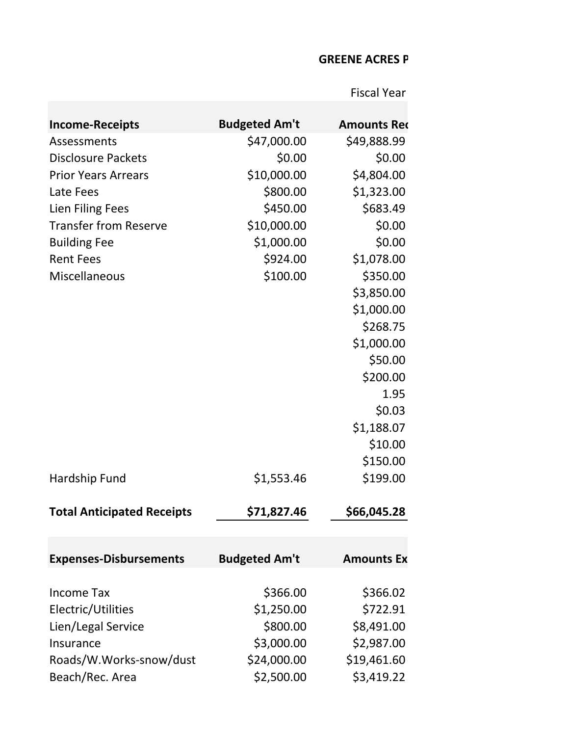## **GREENE ACRES P**

Fiscal Year

| <b>Income-Receipts</b>            | <b>Budgeted Am't</b> | <b>Amounts Red</b> |
|-----------------------------------|----------------------|--------------------|
| Assessments                       | \$47,000.00          | \$49,888.99        |
| <b>Disclosure Packets</b>         | \$0.00               | \$0.00             |
| <b>Prior Years Arrears</b>        | \$10,000.00          | \$4,804.00         |
| Late Fees                         | \$800.00             | \$1,323.00         |
| Lien Filing Fees                  | \$450.00             | \$683.49           |
| <b>Transfer from Reserve</b>      | \$10,000.00          | \$0.00             |
| <b>Building Fee</b>               | \$1,000.00           | \$0.00             |
| <b>Rent Fees</b>                  | \$924.00             | \$1,078.00         |
| Miscellaneous                     | \$100.00             | \$350.00           |
|                                   |                      | \$3,850.00         |
|                                   |                      | \$1,000.00         |
|                                   |                      | \$268.75           |
|                                   |                      | \$1,000.00         |
|                                   |                      | \$50.00            |
|                                   |                      | \$200.00           |
|                                   |                      | 1.95               |
|                                   |                      | \$0.03             |
|                                   |                      | \$1,188.07         |
|                                   |                      | \$10.00            |
|                                   |                      | \$150.00           |
| Hardship Fund                     | \$1,553.46           | \$199.00           |
| <b>Total Anticipated Receipts</b> | \$71,827.46          | \$66,045.28        |
| <b>Expenses-Disbursements</b>     | <b>Budgeted Am't</b> | <b>Amounts Ex</b>  |
|                                   |                      |                    |
| <b>Income Tax</b>                 | \$366.00             | \$366.02           |
| Electric/Utilities                | \$1,250.00           | \$722.91           |
| Lien/Legal Service                | \$800.00             | \$8,491.00         |
| Insurance                         | \$3,000.00           | \$2,987.00         |
| Roads/W.Works-snow/dust           | \$24,000.00          | \$19,461.60        |
| Beach/Rec. Area                   | \$2,500.00           | \$3,419.22         |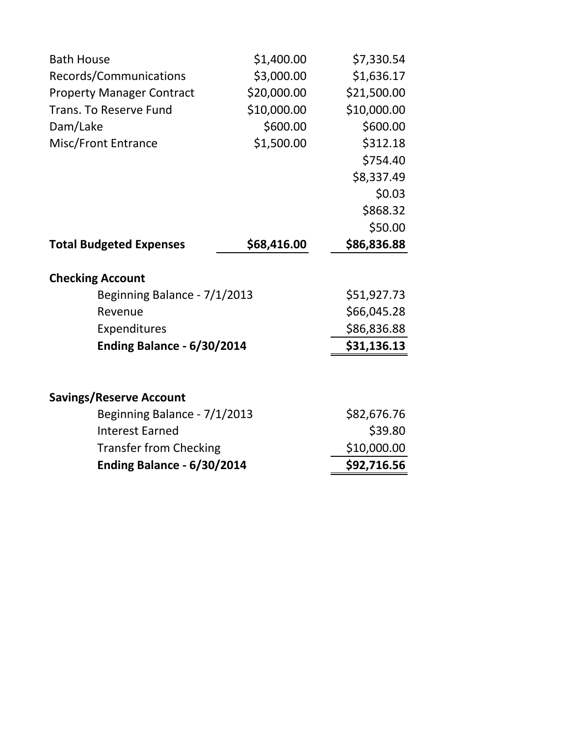| <b>Bath House</b>                 | \$1,400.00  | \$7,330.54  |  |
|-----------------------------------|-------------|-------------|--|
| Records/Communications            | \$3,000.00  | \$1,636.17  |  |
| <b>Property Manager Contract</b>  | \$20,000.00 | \$21,500.00 |  |
| <b>Trans. To Reserve Fund</b>     | \$10,000.00 | \$10,000.00 |  |
| Dam/Lake                          | \$600.00    | \$600.00    |  |
| <b>Misc/Front Entrance</b>        | \$1,500.00  | \$312.18    |  |
|                                   |             | \$754.40    |  |
|                                   |             | \$8,337.49  |  |
|                                   |             | \$0.03      |  |
|                                   |             | \$868.32    |  |
|                                   |             | \$50.00     |  |
| <b>Total Budgeted Expenses</b>    | \$68,416.00 | \$86,836.88 |  |
| <b>Checking Account</b>           |             |             |  |
| Beginning Balance - 7/1/2013      |             | \$51,927.73 |  |
| Revenue                           |             | \$66,045.28 |  |
| Expenditures                      |             | \$86,836.88 |  |
| Ending Balance - 6/30/2014        |             | \$31,136.13 |  |
|                                   |             |             |  |
| <b>Savings/Reserve Account</b>    |             |             |  |
| Beginning Balance - 7/1/2013      |             | \$82,676.76 |  |
| <b>Interest Earned</b>            |             | \$39.80     |  |
| <b>Transfer from Checking</b>     |             | \$10,000.00 |  |
| <b>Ending Balance - 6/30/2014</b> |             | \$92,716.56 |  |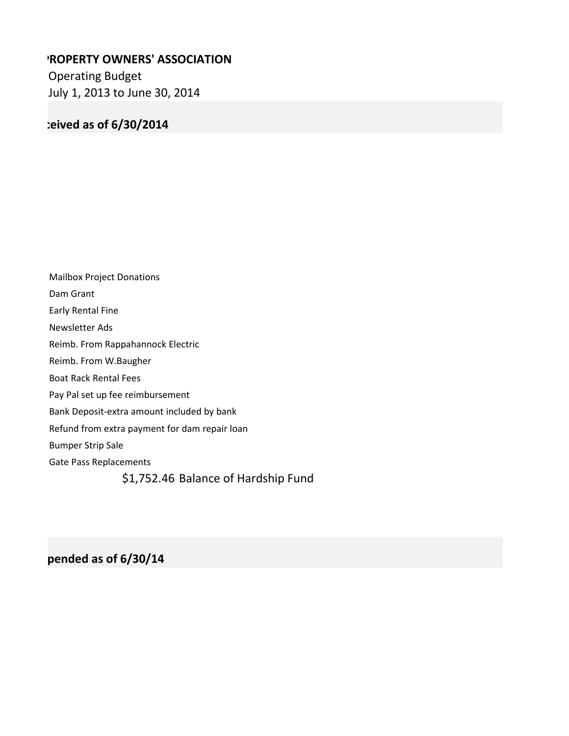## **'ROPERTY OWNERS' ASSOCIATION**

Operating Budget July 1, 2013 to June 30, 2014

## **Amounts Received as of 6/30/2014**

Mailbox Project Donations Dam Grant Early Rental Fine Newsletter Ads Reimb. From Rappahannock Electric Reimb. From W.Baugher Boat Rack Rental Fees Pay Pal set up fee reimbursement Bank Deposit-extra amount included by bank Refund from extra payment for dam repair loan Bumper Strip Sale Gate Pass Replacements \$1,752.46 Balance of Hardship Fund

**Amounts Expended as of 6/30/14**